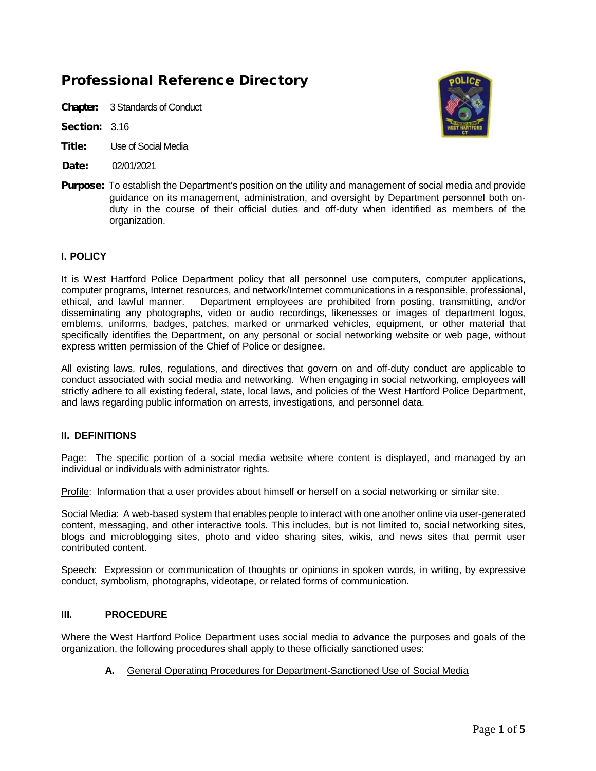# Professional Reference Directory

Chapter: 3Standards of Conduct

Section: 3.16

- Title: Use of Social Media
- Date: 02/01/2021



Purpose:To establish the Department's position on the utility and management of social media and provide guidance on its management, administration, and oversight by Department personnel both onduty in the course of their official duties and off-duty when identified as members of the organization.

#### **I. POLICY**

It is West Hartford Police Department policy that all personnel use computers, computer applications, computer programs, Internet resources, and network/Internet communications in a responsible, professional, ethical, and lawful manner. Department employees are prohibited from posting, transmitting, and/or disseminating any photographs, video or audio recordings, likenesses or images of department logos, emblems, uniforms, badges, patches, marked or unmarked vehicles, equipment, or other material that specifically identifies the Department, on any personal or social networking website or web page, without express written permission of the Chief of Police or designee.

All existing laws, rules, regulations, and directives that govern on and off-duty conduct are applicable to conduct associated with social media and networking. When engaging in social networking, employees will strictly adhere to all existing federal, state, local laws, and policies of the West Hartford Police Department, and laws regarding public information on arrests, investigations, and personnel data.

### **II. DEFINITIONS**

Page: The specific portion of a social media website where content is displayed, and managed by an individual or individuals with administrator rights.

Profile: Information that a user provides about himself or herself on a social networking or similar site.

Social Media: A web-based system that enables people to interact with one another online via user-generated content, messaging, and other interactive tools. This includes, but is not limited to, social networking sites, blogs and microblogging sites, photo and video sharing sites, wikis, and news sites that permit user contributed content.

Speech: Expression or communication of thoughts or opinions in spoken words, in writing, by expressive conduct, symbolism, photographs, videotape, or related forms of communication.

#### **III. PROCEDURE**

Where the West Hartford Police Department uses social media to advance the purposes and goals of the organization, the following procedures shall apply to these officially sanctioned uses:

**A.** General Operating Procedures for Department-Sanctioned Use of Social Media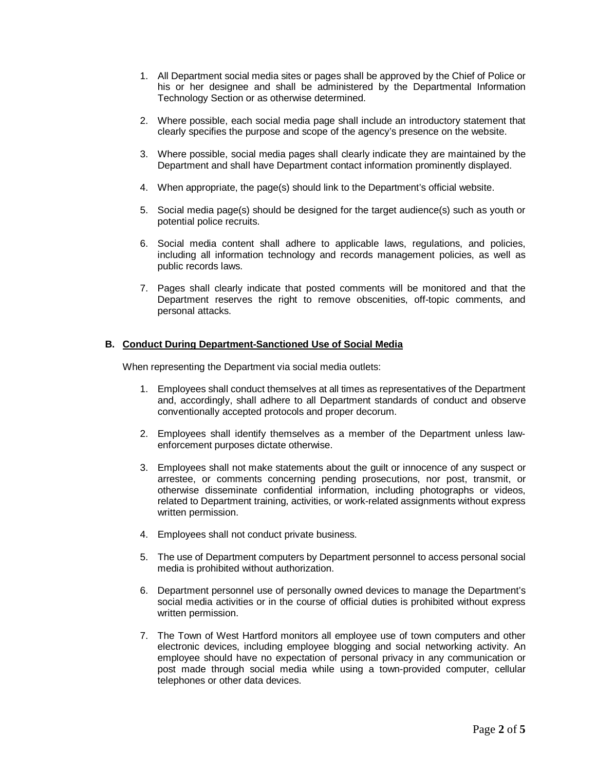- 1. All Department social media sites or pages shall be approved by the Chief of Police or his or her designee and shall be administered by the Departmental Information Technology Section or as otherwise determined.
- 2. Where possible, each social media page shall include an introductory statement that clearly specifies the purpose and scope of the agency's presence on the website.
- 3. Where possible, social media pages shall clearly indicate they are maintained by the Department and shall have Department contact information prominently displayed.
- 4. When appropriate, the page(s) should link to the Department's official website.
- 5. Social media page(s) should be designed for the target audience(s) such as youth or potential police recruits.
- 6. Social media content shall adhere to applicable laws, regulations, and policies, including all information technology and records management policies, as well as public records laws.
- 7. Pages shall clearly indicate that posted comments will be monitored and that the Department reserves the right to remove obscenities, off-topic comments, and personal attacks.

#### **B. Conduct During Department-Sanctioned Use of Social Media**

When representing the Department via social media outlets:

- 1. Employees shall conduct themselves at all times as representatives of the Department and, accordingly, shall adhere to all Department standards of conduct and observe conventionally accepted protocols and proper decorum.
- 2. Employees shall identify themselves as a member of the Department unless lawenforcement purposes dictate otherwise.
- 3. Employees shall not make statements about the guilt or innocence of any suspect or arrestee, or comments concerning pending prosecutions, nor post, transmit, or otherwise disseminate confidential information, including photographs or videos, related to Department training, activities, or work-related assignments without express written permission.
- 4. Employees shall not conduct private business.
- 5. The use of Department computers by Department personnel to access personal social media is prohibited without authorization.
- 6. Department personnel use of personally owned devices to manage the Department's social media activities or in the course of official duties is prohibited without express written permission.
- 7. The Town of West Hartford monitors all employee use of town computers and other electronic devices, including employee blogging and social networking activity. An employee should have no expectation of personal privacy in any communication or post made through social media while using a town-provided computer, cellular telephones or other data devices.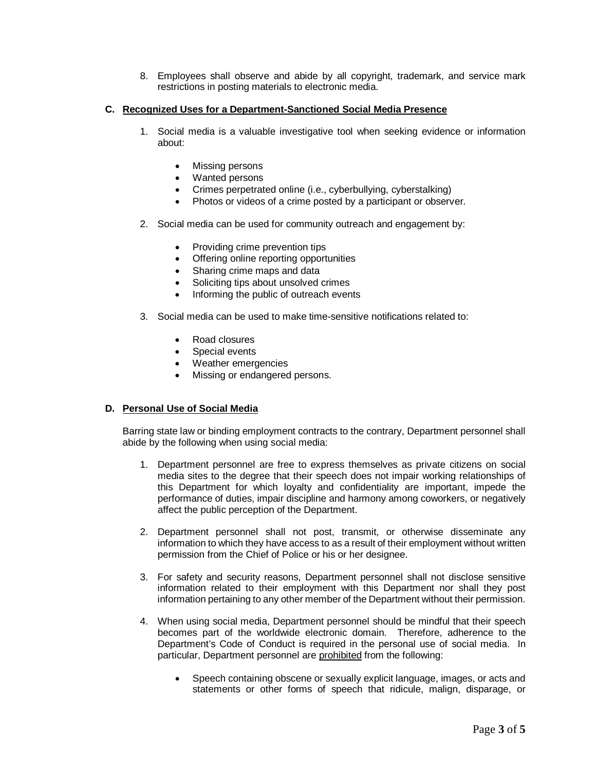8. Employees shall observe and abide by all copyright, trademark, and service mark restrictions in posting materials to electronic media.

## **C. Recognized Uses for a Department-Sanctioned Social Media Presence**

- 1. Social media is a valuable investigative tool when seeking evidence or information about:
	- Missing persons
	- Wanted persons
	- Crimes perpetrated online (i.e., cyberbullying, cyberstalking)
	- Photos or videos of a crime posted by a participant or observer.
- 2. Social media can be used for community outreach and engagement by:
	- Providing crime prevention tips
	- Offering online reporting opportunities
	- Sharing crime maps and data
	- Soliciting tips about unsolved crimes
	- Informing the public of outreach events
- 3. Social media can be used to make time-sensitive notifications related to:
	- Road closures
	- Special events
	- Weather emergencies
	- Missing or endangered persons.

#### **D. Personal Use of Social Media**

Barring state law or binding employment contracts to the contrary, Department personnel shall abide by the following when using social media:

- 1. Department personnel are free to express themselves as private citizens on social media sites to the degree that their speech does not impair working relationships of this Department for which loyalty and confidentiality are important, impede the performance of duties, impair discipline and harmony among coworkers, or negatively affect the public perception of the Department.
- 2. Department personnel shall not post, transmit, or otherwise disseminate any information to which they have access to as a result of their employment without written permission from the Chief of Police or his or her designee.
- 3. For safety and security reasons, Department personnel shall not disclose sensitive information related to their employment with this Department nor shall they post information pertaining to any other member of the Department without their permission.
- 4. When using social media, Department personnel should be mindful that their speech becomes part of the worldwide electronic domain. Therefore, adherence to the Department's Code of Conduct is required in the personal use of social media. In particular, Department personnel are prohibited from the following:
	- Speech containing obscene or sexually explicit language, images, or acts and statements or other forms of speech that ridicule, malign, disparage, or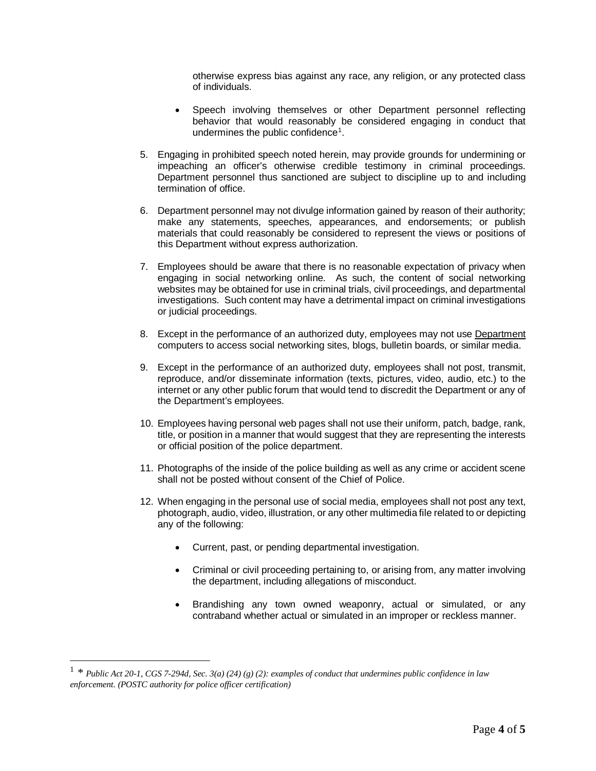otherwise express bias against any race, any religion, or any protected class of individuals.

- Speech involving themselves or other Department personnel reflecting behavior that would reasonably be considered engaging in conduct that undermines the public confidence<sup>[1](#page-3-0)</sup>.
- 5. Engaging in prohibited speech noted herein, may provide grounds for undermining or impeaching an officer's otherwise credible testimony in criminal proceedings. Department personnel thus sanctioned are subject to discipline up to and including termination of office.
- 6. Department personnel may not divulge information gained by reason of their authority; make any statements, speeches, appearances, and endorsements; or publish materials that could reasonably be considered to represent the views or positions of this Department without express authorization.
- 7. Employees should be aware that there is no reasonable expectation of privacy when engaging in social networking online. As such, the content of social networking websites may be obtained for use in criminal trials, civil proceedings, and departmental investigations. Such content may have a detrimental impact on criminal investigations or judicial proceedings.
- 8. Except in the performance of an authorized duty, employees may not use Department computers to access social networking sites, blogs, bulletin boards, or similar media.
- 9. Except in the performance of an authorized duty, employees shall not post, transmit, reproduce, and/or disseminate information (texts, pictures, video, audio, etc.) to the internet or any other public forum that would tend to discredit the Department or any of the Department's employees.
- 10. Employees having personal web pages shall not use their uniform, patch, badge, rank, title, or position in a manner that would suggest that they are representing the interests or official position of the police department.
- 11. Photographs of the inside of the police building as well as any crime or accident scene shall not be posted without consent of the Chief of Police.
- 12. When engaging in the personal use of social media, employees shall not post any text, photograph, audio, video, illustration, or any other multimedia file related to or depicting any of the following:
	- Current, past, or pending departmental investigation.
	- Criminal or civil proceeding pertaining to, or arising from, any matter involving the department, including allegations of misconduct.
	- Brandishing any town owned weaponry, actual or simulated, or any contraband whether actual or simulated in an improper or reckless manner.

<span id="page-3-0"></span> <sup>1</sup> *\* Public Act 20-1, CGS 7-294d, Sec. 3(a) (24) (g) (2): examples of conduct that undermines public confidence in law enforcement. (POSTC authority for police officer certification)*